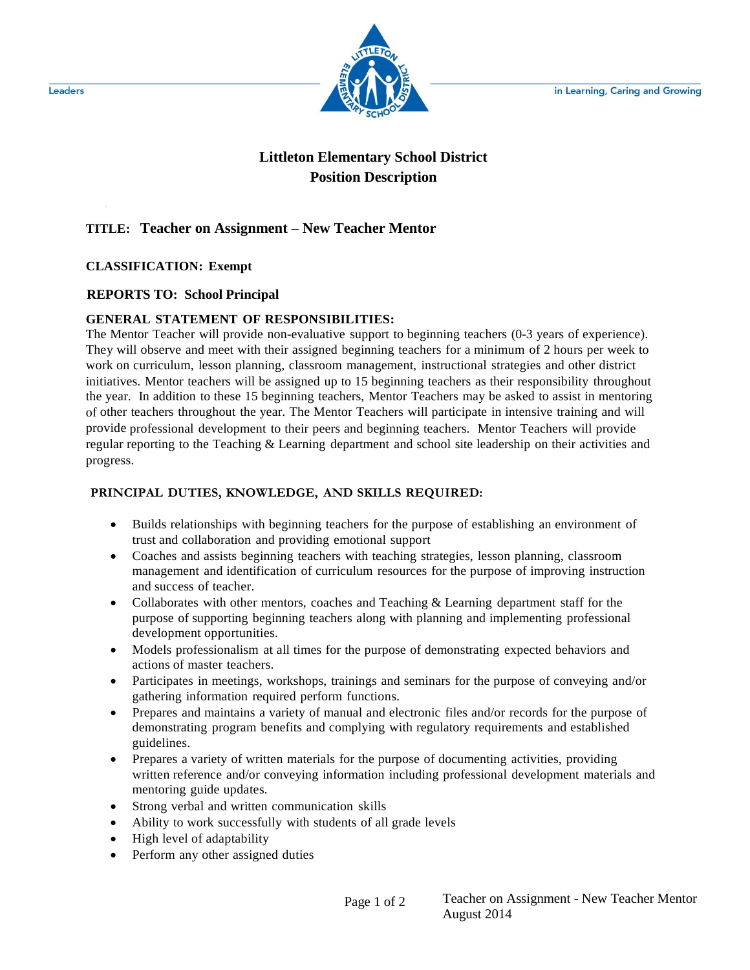in Learning, Caring and Growing



# **Littleton Elementary School District Position Description**

# **TITLE: Teacher on Assignment – New Teacher Mentor**

## **CLASSIFICATION: Exempt**

## **REPORTS TO: School Principal**

## **GENERAL STATEMENT OF RESPONSIBILITIES:**

The Mentor Teacher will provide non-evaluative support to beginning teachers (0-3 years of experience). They will observe and meet with their assigned beginning teachers for a minimum of 2 hours per week to work on curriculum, lesson planning, classroom management, instructional strategies and other district initiatives. Mentor teachers will be assigned up to 15 beginning teachers as their responsibility throughout the year. In addition to these 15 beginning teachers, Mentor Teachers may be asked to assist in mentoring of other teachers throughout the year. The Mentor Teachers will participate in intensive training and will provide professional development to their peers and beginning teachers. Mentor Teachers will provide regular reporting to the Teaching & Learning department and school site leadership on their activities and progress.

#### **PRINCIPAL DUTIES, KNOWLEDGE, AND SKILLS REQUIRED:**

- Builds relationships with beginning teachers for the purpose of establishing an environment of trust and collaboration and providing emotional support
- Coaches and assists beginning teachers with teaching strategies, lesson planning, classroom management and identification of curriculum resources for the purpose of improving instruction and success of teacher.
- Collaborates with other mentors, coaches and Teaching & Learning department staff for the purpose of supporting beginning teachers along with planning and implementing professional development opportunities.
- Models professionalism at all times for the purpose of demonstrating expected behaviors and actions of master teachers.
- Participates in meetings, workshops, trainings and seminars for the purpose of conveying and/or gathering information required perform functions.
- Prepares and maintains a variety of manual and electronic files and/or records for the purpose of demonstrating program benefits and complying with regulatory requirements and established guidelines.
- Prepares a variety of written materials for the purpose of documenting activities, providing written reference and/or conveying information including professional development materials and mentoring guide updates.
- Strong verbal and written communication skills
- Ability to work successfully with students of all grade levels
- High level of adaptability
- Perform any other assigned duties